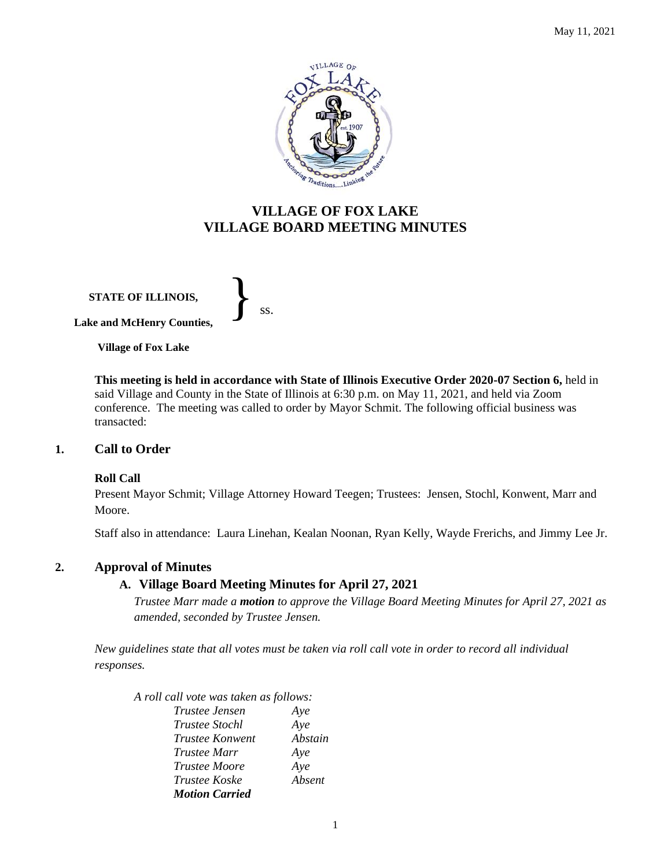

# **VILLAGE OF FOX LAKE VILLAGE BOARD MEETING MINUTES**

**STATE OF ILLINOIS, Lake and McHenry Counties,**  }<br>*ss.* 

**Village of Fox Lake**

**This meeting is held in accordance with State of Illinois Executive Order 2020-07 Section 6,** held in said Village and County in the State of Illinois at 6:30 p.m. on May 11, 2021, and held via Zoom conference. The meeting was called to order by Mayor Schmit. The following official business was transacted:

# **1. Call to Order**

# **Roll Call**

Present Mayor Schmit; Village Attorney Howard Teegen; Trustees: Jensen, Stochl, Konwent, Marr and Moore.

Staff also in attendance: Laura Linehan, Kealan Noonan, Ryan Kelly, Wayde Frerichs, and Jimmy Lee Jr.

# **2. Approval of Minutes**

# **A. Village Board Meeting Minutes for April 27, 2021**

*Trustee Marr made a motion to approve the Village Board Meeting Minutes for April 27, 2021 as amended, seconded by Trustee Jensen.* 

*New guidelines state that all votes must be taken via roll call vote in order to record all individual responses.* 

*A roll call vote was taken as follows:* 

| Trustee Jensen        | Aye     |
|-----------------------|---------|
| <i>Trustee Stochl</i> | Aye     |
| Trustee Konwent       | Abstain |
| <i>Trustee Marr</i>   | Aye     |
| <i>Trustee Moore</i>  | Aye     |
| <i>Trustee Koske</i>  | Absent  |
| <b>Motion Carried</b> |         |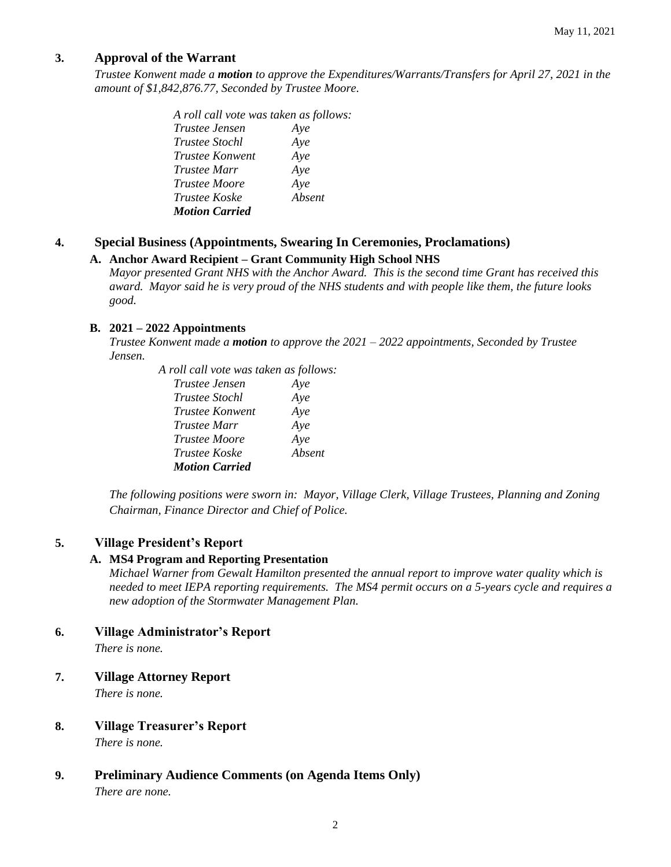# **3. Approval of the Warrant**

*Trustee Konwent made a motion to approve the Expenditures/Warrants/Transfers for April 27, 2021 in the amount of \$1,842,876.77, Seconded by Trustee Moore.*

> *A roll call vote was taken as follows: Trustee Jensen Aye Trustee Stochl Aye Trustee Konwent Aye Trustee Marr Aye Trustee Moore Aye Trustee Koske Absent Motion Carried*

# **4. Special Business (Appointments, Swearing In Ceremonies, Proclamations)**

# **A. Anchor Award Recipient – Grant Community High School NHS**

*Mayor presented Grant NHS with the Anchor Award. This is the second time Grant has received this award. Mayor said he is very proud of the NHS students and with people like them, the future looks good.* 

#### **B. 2021 – 2022 Appointments**

*Trustee Konwent made a motion to approve the 2021 – 2022 appointments, Seconded by Trustee Jensen.*

> *A roll call vote was taken as follows: Trustee Jensen Aye Trustee Stochl Aye Trustee Konwent Aye Trustee Marr Aye Trustee Moore Aye Trustee Koske Absent Motion Carried*

*The following positions were sworn in: Mayor, Village Clerk, Village Trustees, Planning and Zoning Chairman, Finance Director and Chief of Police.*

# **5. Village President's Report**

# **A. MS4 Program and Reporting Presentation**

*Michael Warner from Gewalt Hamilton presented the annual report to improve water quality which is needed to meet IEPA reporting requirements. The MS4 permit occurs on a 5-years cycle and requires a new adoption of the Stormwater Management Plan.* 

# **6. Village Administrator's Report**

*There is none.*

# **7. Village Attorney Report**

*There is none.*

# **8. Village Treasurer's Report**

*There is none.*

# **9. Preliminary Audience Comments (on Agenda Items Only)**

*There are none.*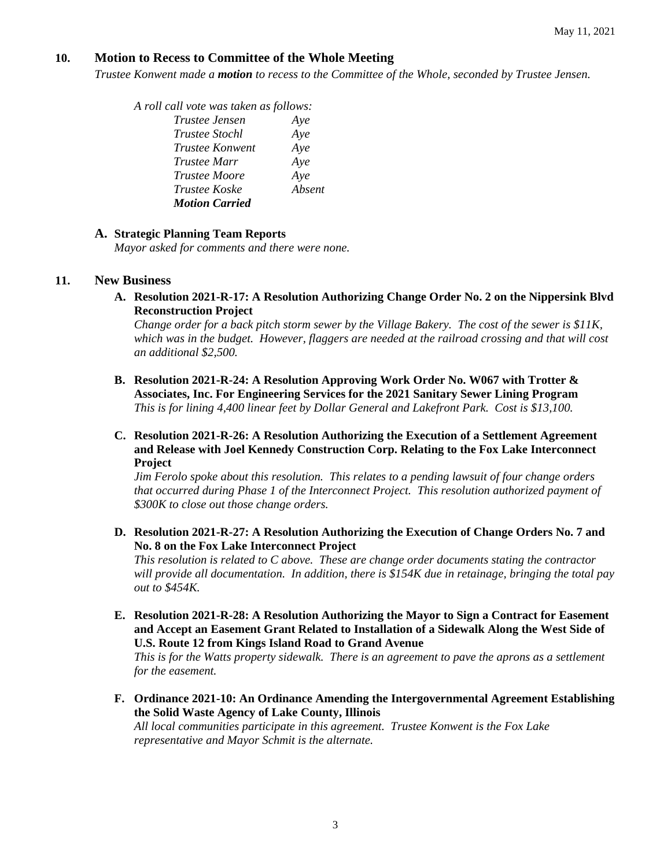# **10. Motion to Recess to Committee of the Whole Meeting**

*Trustee Konwent made a motion to recess to the Committee of the Whole, seconded by Trustee Jensen.* 

*A roll call vote was taken as follows:* 

| Trustee Jensen        | Aye    |
|-----------------------|--------|
| <i>Trustee Stochl</i> | Aye    |
| Trustee Konwent       | Aye    |
| Trustee Marr          | Aye    |
| <i>Trustee Moore</i>  | Aye    |
| Trustee Koske         | Absent |
| <b>Motion Carried</b> |        |

#### **A. Strategic Planning Team Reports**

*Mayor asked for comments and there were none.* 

#### **11. New Business**

**A. Resolution 2021-R-17: A Resolution Authorizing Change Order No. 2 on the Nippersink Blvd Reconstruction Project**

*Change order for a back pitch storm sewer by the Village Bakery. The cost of the sewer is \$11K, which was in the budget. However, flaggers are needed at the railroad crossing and that will cost an additional \$2,500.* 

- **B. Resolution 2021-R-24: A Resolution Approving Work Order No. W067 with Trotter & Associates, Inc. For Engineering Services for the 2021 Sanitary Sewer Lining Program** *This is for lining 4,400 linear feet by Dollar General and Lakefront Park. Cost is \$13,100.*
- **C. Resolution 2021-R-26: A Resolution Authorizing the Execution of a Settlement Agreement and Release with Joel Kennedy Construction Corp. Relating to the Fox Lake Interconnect Project**

*Jim Ferolo spoke about this resolution. This relates to a pending lawsuit of four change orders that occurred during Phase 1 of the Interconnect Project. This resolution authorized payment of \$300K to close out those change orders.* 

**D. Resolution 2021-R-27: A Resolution Authorizing the Execution of Change Orders No. 7 and No. 8 on the Fox Lake Interconnect Project**

*This resolution is related to C above. These are change order documents stating the contractor will provide all documentation. In addition, there is \$154K due in retainage, bringing the total pay out to \$454K.* 

**E. Resolution 2021-R-28: A Resolution Authorizing the Mayor to Sign a Contract for Easement and Accept an Easement Grant Related to Installation of a Sidewalk Along the West Side of U.S. Route 12 from Kings Island Road to Grand Avenue** 

*This is for the Watts property sidewalk. There is an agreement to pave the aprons as a settlement for the easement.* 

**F. Ordinance 2021-10: An Ordinance Amending the Intergovernmental Agreement Establishing the Solid Waste Agency of Lake County, Illinois**

*All local communities participate in this agreement. Trustee Konwent is the Fox Lake representative and Mayor Schmit is the alternate.*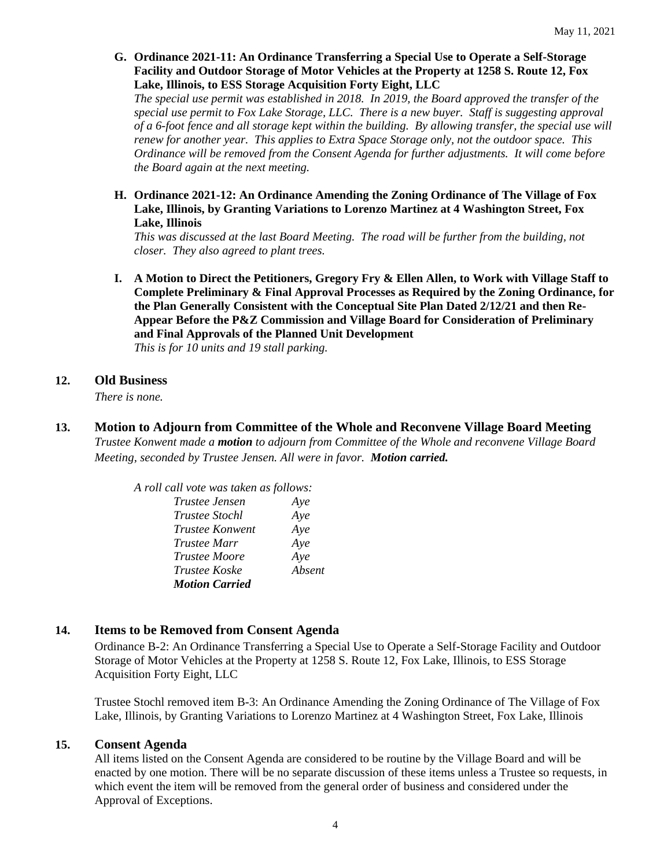**G. Ordinance 2021-11: An Ordinance Transferring a Special Use to Operate a Self-Storage Facility and Outdoor Storage of Motor Vehicles at the Property at 1258 S. Route 12, Fox Lake, Illinois, to ESS Storage Acquisition Forty Eight, LLC**

*The special use permit was established in 2018. In 2019, the Board approved the transfer of the special use permit to Fox Lake Storage, LLC. There is a new buyer. Staff is suggesting approval of a 6-foot fence and all storage kept within the building. By allowing transfer, the special use will renew for another year. This applies to Extra Space Storage only, not the outdoor space. This Ordinance will be removed from the Consent Agenda for further adjustments. It will come before the Board again at the next meeting.* 

**H. Ordinance 2021-12: An Ordinance Amending the Zoning Ordinance of The Village of Fox Lake, Illinois, by Granting Variations to Lorenzo Martinez at 4 Washington Street, Fox Lake, Illinois**

*This was discussed at the last Board Meeting. The road will be further from the building, not closer. They also agreed to plant trees.* 

- **I. A Motion to Direct the Petitioners, Gregory Fry & Ellen Allen, to Work with Village Staff to Complete Preliminary & Final Approval Processes as Required by the Zoning Ordinance, for the Plan Generally Consistent with the Conceptual Site Plan Dated 2/12/21 and then Re-Appear Before the P&Z Commission and Village Board for Consideration of Preliminary and Final Approvals of the Planned Unit Development** *This is for 10 units and 19 stall parking.*
- **12. Old Business**

*There is none.* 

**13. Motion to Adjourn from Committee of the Whole and Reconvene Village Board Meeting** *Trustee Konwent made a motion to adjourn from Committee of the Whole and reconvene Village Board Meeting, seconded by Trustee Jensen. All were in favor. Motion carried.* 

> *A roll call vote was taken as follows: Trustee Jensen Aye Trustee Stochl Aye Trustee Konwent Aye Trustee Marr Aye Trustee Moore Aye Trustee Koske Absent Motion Carried*

# **14. Items to be Removed from Consent Agenda**

Ordinance B-2: An Ordinance Transferring a Special Use to Operate a Self-Storage Facility and Outdoor Storage of Motor Vehicles at the Property at 1258 S. Route 12, Fox Lake, Illinois, to ESS Storage Acquisition Forty Eight, LLC

Trustee Stochl removed item B-3: An Ordinance Amending the Zoning Ordinance of The Village of Fox Lake, Illinois, by Granting Variations to Lorenzo Martinez at 4 Washington Street, Fox Lake, Illinois

# **15. Consent Agenda**

All items listed on the Consent Agenda are considered to be routine by the Village Board and will be enacted by one motion. There will be no separate discussion of these items unless a Trustee so requests, in which event the item will be removed from the general order of business and considered under the Approval of Exceptions.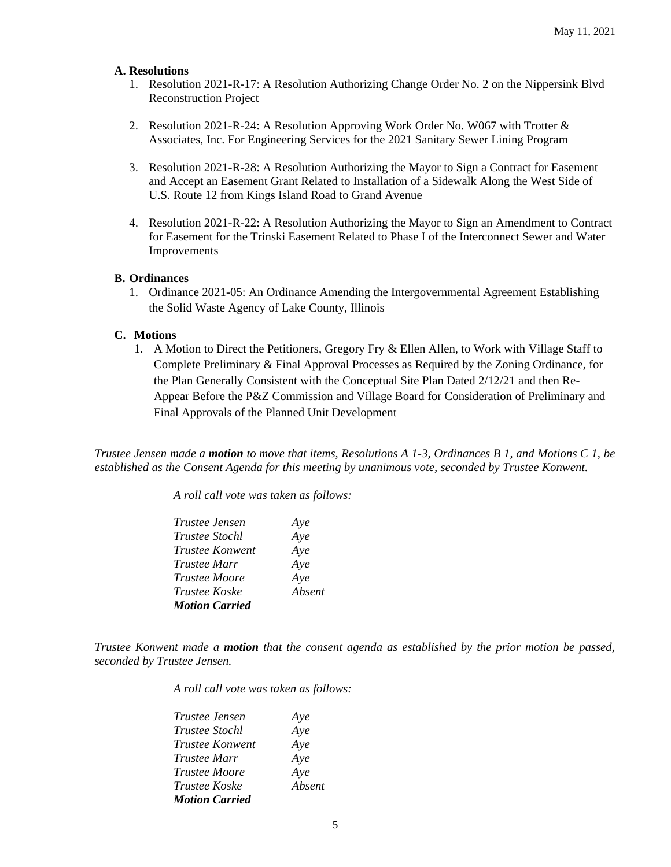#### **A. Resolutions**

- 1. Resolution 2021-R-17: A Resolution Authorizing Change Order No. 2 on the Nippersink Blvd Reconstruction Project
- 2. Resolution 2021-R-24: A Resolution Approving Work Order No. W067 with Trotter & Associates, Inc. For Engineering Services for the 2021 Sanitary Sewer Lining Program
- 3. Resolution 2021-R-28: A Resolution Authorizing the Mayor to Sign a Contract for Easement and Accept an Easement Grant Related to Installation of a Sidewalk Along the West Side of U.S. Route 12 from Kings Island Road to Grand Avenue
- 4. Resolution 2021-R-22: A Resolution Authorizing the Mayor to Sign an Amendment to Contract for Easement for the Trinski Easement Related to Phase I of the Interconnect Sewer and Water Improvements

#### **B. Ordinances**

1. Ordinance 2021-05: An Ordinance Amending the Intergovernmental Agreement Establishing the Solid Waste Agency of Lake County, Illinois

#### **C. Motions**

1. A Motion to Direct the Petitioners, Gregory Fry & Ellen Allen, to Work with Village Staff to Complete Preliminary & Final Approval Processes as Required by the Zoning Ordinance, for the Plan Generally Consistent with the Conceptual Site Plan Dated 2/12/21 and then Re-Appear Before the P&Z Commission and Village Board for Consideration of Preliminary and Final Approvals of the Planned Unit Development

*Trustee Jensen made a motion to move that items, Resolutions A 1-3, Ordinances B 1, and Motions C 1, be established as the Consent Agenda for this meeting by unanimous vote, seconded by Trustee Konwent.*

*A roll call vote was taken as follows:* 

| Trustee Jensen        | Aye    |
|-----------------------|--------|
| <b>Trustee Stochl</b> | Aye    |
| Trustee Konwent       | Aye    |
| <i>Trustee Marr</i>   | Aye    |
| <i>Trustee Moore</i>  | Aye    |
| <i>Trustee Koske</i>  | Absent |
| <b>Motion Carried</b> |        |

*Trustee Konwent made a motion that the consent agenda as established by the prior motion be passed, seconded by Trustee Jensen.*

*A roll call vote was taken as follows:* 

| <i>Trustee Jensen</i>  | Aye    |
|------------------------|--------|
| <i>Trustee Stochl</i>  | Aye    |
| <i>Trustee Konwent</i> | Aye    |
| <i>Trustee Marr</i>    | Aye    |
| <i>Trustee Moore</i>   | Aye    |
| <i>Trustee Koske</i>   | Absent |
| <b>Motion Carried</b>  |        |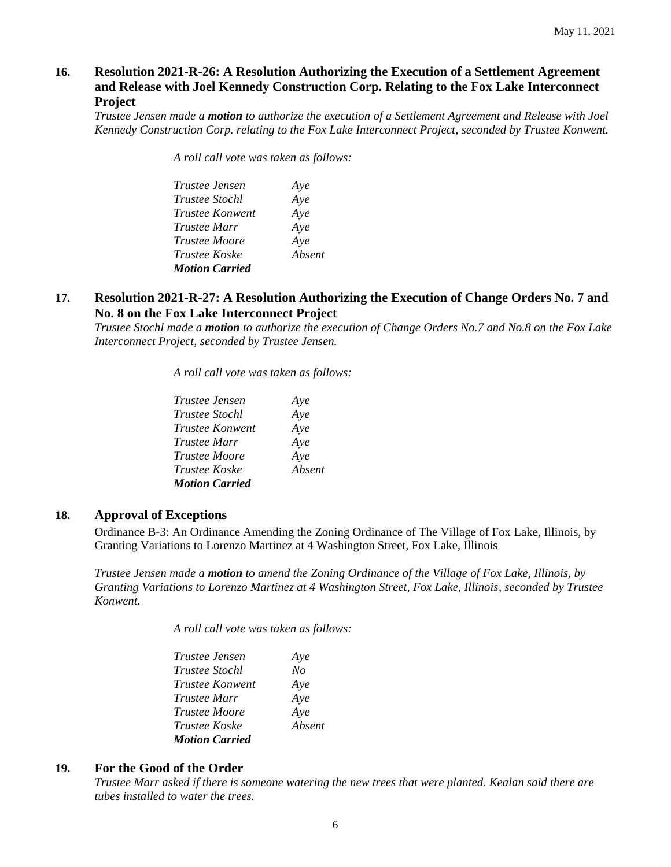# **16. Resolution 2021-R-26: A Resolution Authorizing the Execution of a Settlement Agreement and Release with Joel Kennedy Construction Corp. Relating to the Fox Lake Interconnect Project**

*Trustee Jensen made a motion to authorize the execution of a Settlement Agreement and Release with Joel Kennedy Construction Corp. relating to the Fox Lake Interconnect Project, seconded by Trustee Konwent.*

*A roll call vote was taken as follows:* 

| <i>Trustee Jensen</i> | Aye    |
|-----------------------|--------|
| <i>Trustee Stochl</i> | Aye    |
| Trustee Konwent       | Aye    |
| <i>Trustee Marr</i>   | Aye    |
| <i>Trustee Moore</i>  | Aye    |
| Trustee Koske         | Absent |
| <b>Motion Carried</b> |        |

# **17. Resolution 2021-R-27: A Resolution Authorizing the Execution of Change Orders No. 7 and No. 8 on the Fox Lake Interconnect Project**

*Trustee Stochl made a motion to authorize the execution of Change Orders No.7 and No.8 on the Fox Lake Interconnect Project, seconded by Trustee Jensen.*

*A roll call vote was taken as follows:* 

| Trustee Jensen        | Aye    |
|-----------------------|--------|
| <i>Trustee Stochl</i> | Aye    |
| Trustee Konwent       | Aye    |
| <i>Trustee Marr</i>   | Aye    |
| <i>Trustee Moore</i>  | Aye    |
| <i>Trustee Koske</i>  | Absent |
| <b>Motion Carried</b> |        |

# **18. Approval of Exceptions**

Ordinance B-3: An Ordinance Amending the Zoning Ordinance of The Village of Fox Lake, Illinois, by Granting Variations to Lorenzo Martinez at 4 Washington Street, Fox Lake, Illinois

*Trustee Jensen made a motion to amend the Zoning Ordinance of the Village of Fox Lake, Illinois, by Granting Variations to Lorenzo Martinez at 4 Washington Street, Fox Lake, Illinois, seconded by Trustee Konwent.*

*A roll call vote was taken as follows:* 

| Trustee Jensen        | Aye    |
|-----------------------|--------|
| <i>Trustee Stochl</i> | No     |
| Trustee Konwent       | Aye    |
| <i>Trustee Marr</i>   | Aye    |
| <i>Trustee Moore</i>  | Aye    |
| Trustee Koske         | Absent |
| <b>Motion Carried</b> |        |

# **19. For the Good of the Order**

*Trustee Marr asked if there is someone watering the new trees that were planted. Kealan said there are tubes installed to water the trees.*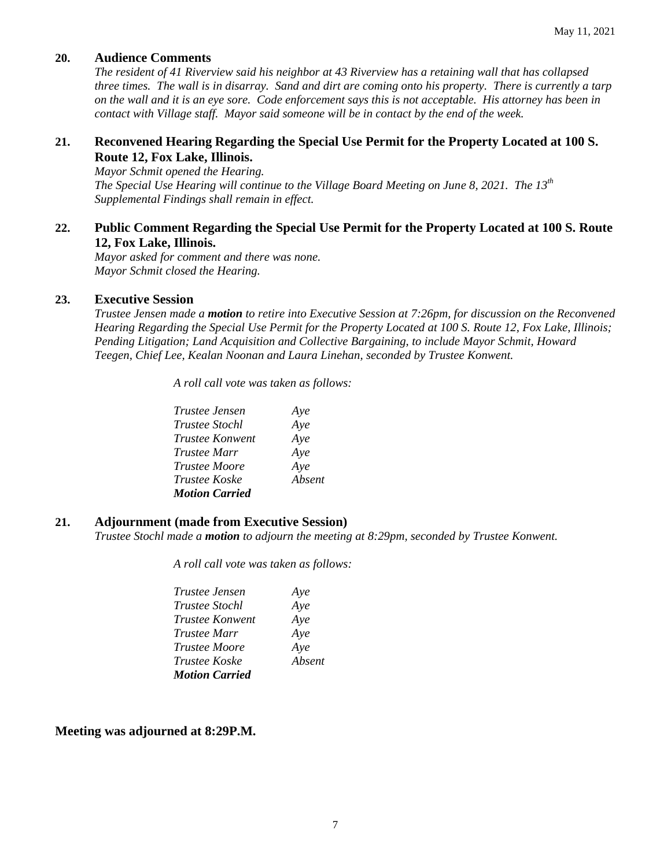# **20. Audience Comments**

*The resident of 41 Riverview said his neighbor at 43 Riverview has a retaining wall that has collapsed three times. The wall is in disarray. Sand and dirt are coming onto his property. There is currently a tarp on the wall and it is an eye sore. Code enforcement says this is not acceptable. His attorney has been in contact with Village staff. Mayor said someone will be in contact by the end of the week.* 

# **21. Reconvened Hearing Regarding the Special Use Permit for the Property Located at 100 S. Route 12, Fox Lake, Illinois.**

*Mayor Schmit opened the Hearing. The Special Use Hearing will continue to the Village Board Meeting on June 8, 2021. The 13th Supplemental Findings shall remain in effect.* 

# **22. Public Comment Regarding the Special Use Permit for the Property Located at 100 S. Route 12, Fox Lake, Illinois.**

*Mayor asked for comment and there was none. Mayor Schmit closed the Hearing.* 

# **23. Executive Session**

*Trustee Jensen made a motion to retire into Executive Session at 7:26pm, for discussion on the Reconvened Hearing Regarding the Special Use Permit for the Property Located at 100 S. Route 12, Fox Lake, Illinois; Pending Litigation; Land Acquisition and Collective Bargaining, to include Mayor Schmit, Howard Teegen, Chief Lee, Kealan Noonan and Laura Linehan, seconded by Trustee Konwent.*

*A roll call vote was taken as follows:* 

| <i>Trustee Jensen</i> | Aye    |
|-----------------------|--------|
| <i>Trustee Stochl</i> | Aye    |
| Trustee Konwent       | Aye    |
| <i>Trustee Marr</i>   | Aye    |
| <i>Trustee Moore</i>  | Aye    |
| <i>Trustee Koske</i>  | Absent |
| <b>Motion Carried</b> |        |

# **21. Adjournment (made from Executive Session)**

*Trustee Stochl made a motion to adjourn the meeting at 8:29pm, seconded by Trustee Konwent.*

*A roll call vote was taken as follows:* 

| Trustee Jensen        | Aye    |
|-----------------------|--------|
| <i>Trustee Stochl</i> | Aye    |
| Trustee Konwent       | Aye    |
| <i>Trustee Marr</i>   | Aye    |
| <i>Trustee Moore</i>  | Aye    |
| Trustee Koske         | Absent |
| <b>Motion Carried</b> |        |

**Meeting was adjourned at 8:29P.M.**